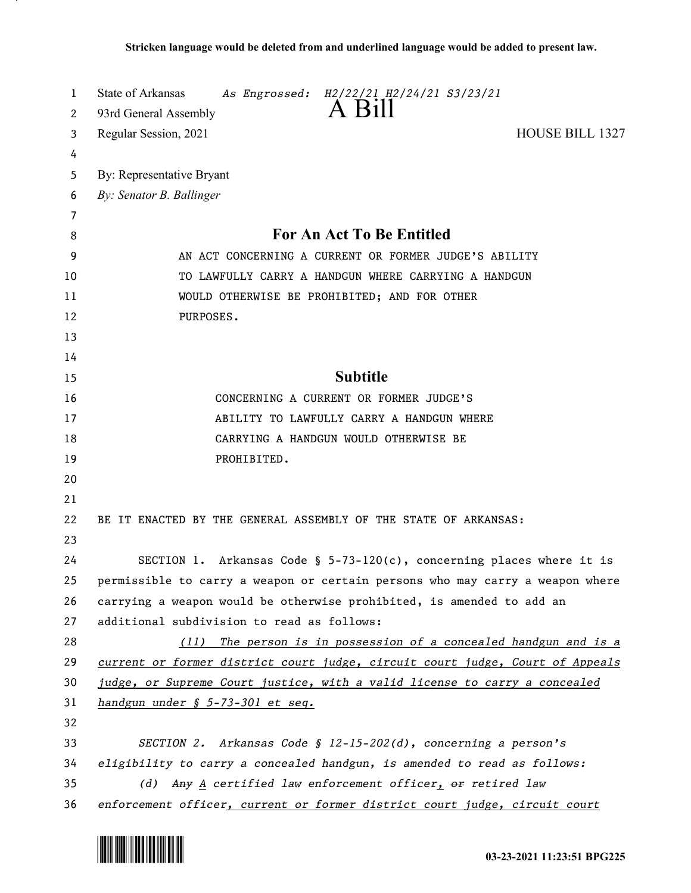| 1  | State of Arkansas<br>As Engrossed: H2/22/21 H2/24/21 S3/23/21                     |
|----|-----------------------------------------------------------------------------------|
| 2  | A Bill<br>93rd General Assembly                                                   |
| 3  | <b>HOUSE BILL 1327</b><br>Regular Session, 2021                                   |
| 4  |                                                                                   |
| 5  | By: Representative Bryant                                                         |
| 6  | By: Senator B. Ballinger                                                          |
| 7  |                                                                                   |
| 8  | <b>For An Act To Be Entitled</b>                                                  |
| 9  | AN ACT CONCERNING A CURRENT OR FORMER JUDGE'S ABILITY                             |
| 10 | TO LAWFULLY CARRY A HANDGUN WHERE CARRYING A HANDGUN                              |
| 11 | WOULD OTHERWISE BE PROHIBITED; AND FOR OTHER                                      |
| 12 | PURPOSES.                                                                         |
| 13 |                                                                                   |
| 14 |                                                                                   |
| 15 | <b>Subtitle</b>                                                                   |
| 16 | CONCERNING A CURRENT OR FORMER JUDGE'S                                            |
| 17 | ABILITY TO LAWFULLY CARRY A HANDGUN WHERE                                         |
| 18 | CARRYING A HANDGUN WOULD OTHERWISE BE                                             |
| 19 | PROHIBITED.                                                                       |
| 20 |                                                                                   |
| 21 |                                                                                   |
| 22 | BE IT ENACTED BY THE GENERAL ASSEMBLY OF THE STATE OF ARKANSAS:                   |
| 23 |                                                                                   |
| 24 | SECTION 1. Arkansas Code § 5-73-120(c), concerning places where it is             |
| 25 | permissible to carry a weapon or certain persons who may carry a weapon where     |
| 26 | carrying a weapon would be otherwise prohibited, is amended to add an             |
| 27 | additional subdivision to read as follows:                                        |
| 28 | (11) The person is in possession of a concealed handgun and is a                  |
| 29 | current or former district court judge, circuit court judge, Court of Appeals     |
| 30 | judge, or Supreme Court justice, with a valid license to carry a concealed        |
| 31 | handgun under § 5-73-301 et seq.                                                  |
| 32 |                                                                                   |
| 33 | SECTION 2. Arkansas Code § 12-15-202(d), concerning a person's                    |
| 34 | eligibility to carry a concealed handgun, is amended to read as follows:          |
| 35 | (d) Any $\underline{A}$ certified law enforcement officer, $\theta$ r retired law |
| 36 | enforcement officer, current or former district court judge, circuit court        |